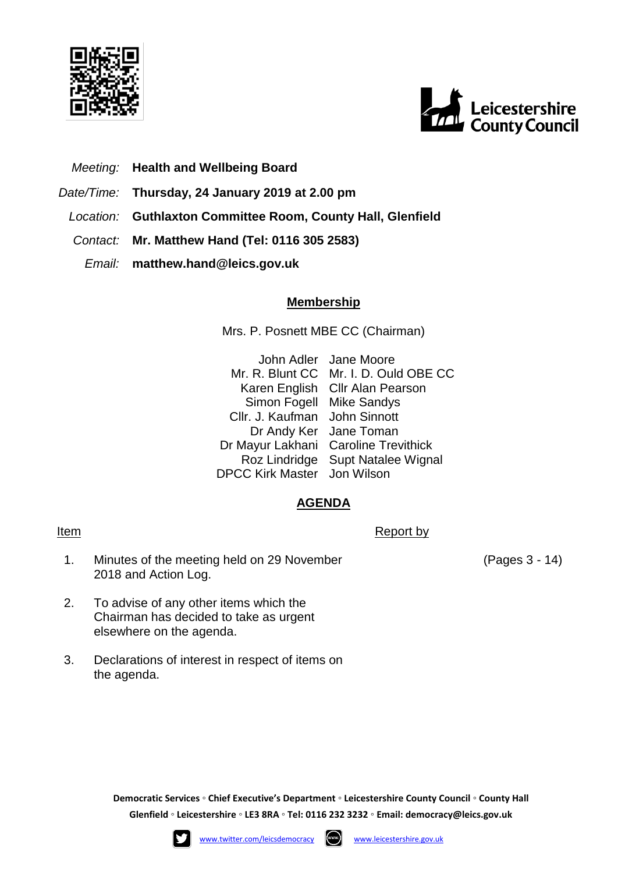



## *Meeting:* **Health and Wellbeing Board**

- *Date/Time:* **Thursday, 24 January 2019 at 2.00 pm**
	- *Location:* **Guthlaxton Committee Room, County Hall, Glenfield**
	- *Contact:* **Mr. Matthew Hand (Tel: 0116 305 2583)**
		- *Email:* **matthew.hand@leics.gov.uk**

## **Membership**

Mrs. P. Posnett MBE CC (Chairman)

John Adler Jane Moore Mr. R. Blunt CC Mr. I. D. Ould OBE CC Karen English Cllr Alan Pearson Simon Fogell Mike Sandys Cllr. J. Kaufman John Sinnott Dr Andy Ker Jane Toman Dr Mayur Lakhani Caroline Trevithick Roz Lindridge Supt Natalee Wignal DPCC Kirk Master Jon Wilson

## **AGENDA**

Item Report by Report by Report by Report by Report by Report by Report by Report by Report by  $\mathbb{R}$ 

- 1. Minutes of the meeting held on 29 November 2018 and Action Log.
- 2. To advise of any other items which the Chairman has decided to take as urgent elsewhere on the agenda.
- 3. Declarations of interest in respect of items on the agenda.

(Pages 3 - 14)

**Democratic Services ◦ Chief Executive's Department ◦ Leicestershire County Council ◦ County Hall Glenfield ◦ Leicestershire ◦ LE3 8RA ◦ Tel: 0116 232 3232 ◦ Email: [democracy@leics.gov.uk](mailto:democracy@leics.gov.uk)**